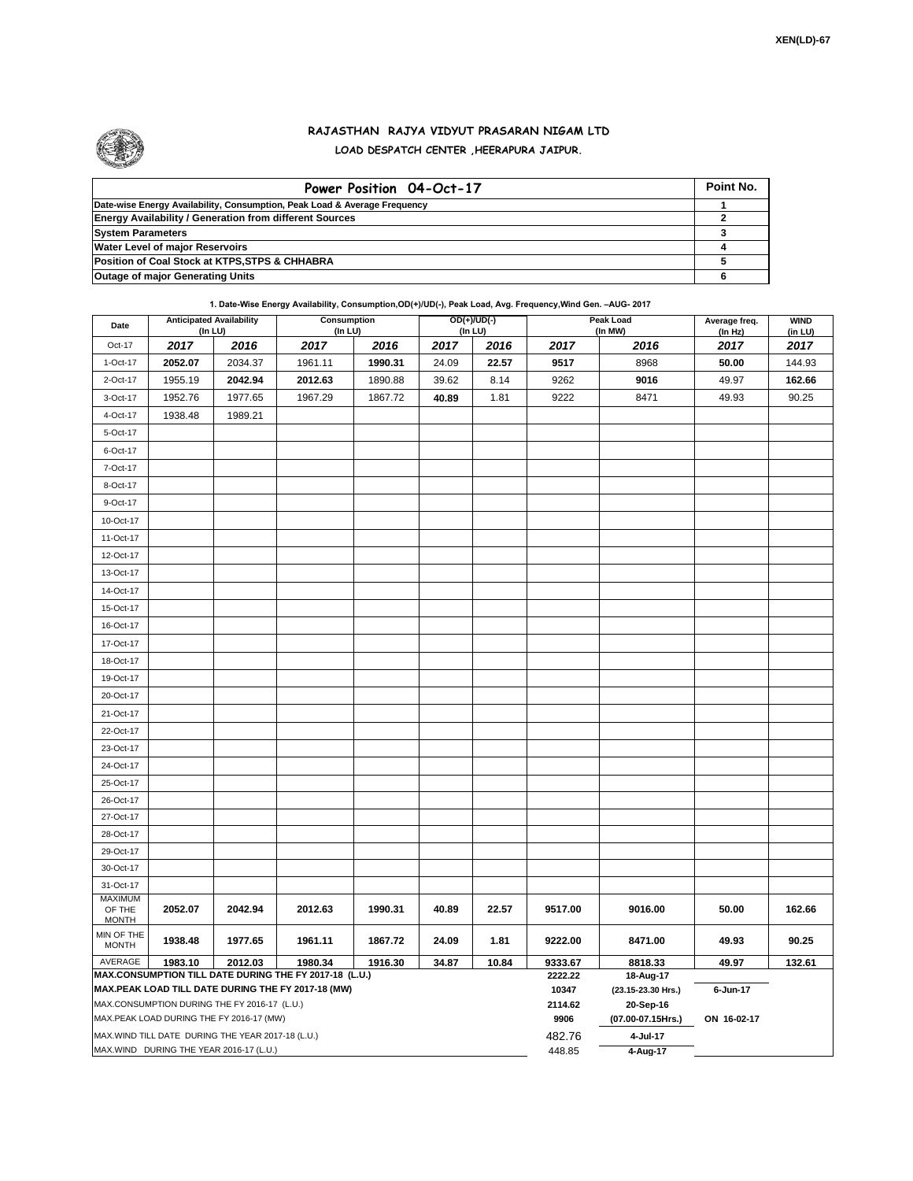

## **RAJASTHAN RAJYA VIDYUT PRASARAN NIGAM LTD LOAD DESPATCH CENTER ,HEERAPURA JAIPUR.**

| Power Position 04-Oct-17                                                  | Point No. |
|---------------------------------------------------------------------------|-----------|
| Date-wise Energy Availability, Consumption, Peak Load & Average Frequency |           |
| <b>Energy Availability / Generation from different Sources</b>            |           |
| <b>System Parameters</b>                                                  |           |
| <b>Water Level of major Reservoirs</b>                                    |           |
| Position of Coal Stock at KTPS, STPS & CHHABRA                            |           |
| <b>Outage of major Generating Units</b>                                   |           |

**1. Date-Wise Energy Availability, Consumption,OD(+)/UD(-), Peak Load, Avg. Frequency,Wind Gen. –AUG- 2017**

| Date                                                                                               | <b>Anticipated Availability</b> | (In LU)                                           | Consumption<br>(In LU) |         |       | $OD(+)/UD(-)$<br>(In LU) |                    | Peak Load<br>(In MW)            | Average freq.<br>(In Hz) | <b>WIND</b><br>(in LU) |  |
|----------------------------------------------------------------------------------------------------|---------------------------------|---------------------------------------------------|------------------------|---------|-------|--------------------------|--------------------|---------------------------------|--------------------------|------------------------|--|
| Oct-17                                                                                             | 2017                            | 2016                                              | 2017                   | 2016    | 2017  | 2016                     | 2017               | 2016                            | 2017                     | 2017                   |  |
| 1-Oct-17                                                                                           | 2052.07                         | 2034.37                                           | 1961.11                | 1990.31 | 24.09 | 22.57                    | 9517               | 8968                            | 50.00                    | 144.93                 |  |
| 2-Oct-17                                                                                           | 1955.19                         | 2042.94                                           | 2012.63                | 1890.88 | 39.62 | 8.14                     | 9262               | 9016                            | 49.97                    | 162.66                 |  |
| 3-Oct-17                                                                                           | 1952.76                         | 1977.65                                           | 1967.29                | 1867.72 | 40.89 | 1.81                     | 9222               | 8471                            | 49.93                    | 90.25                  |  |
| 4-Oct-17                                                                                           | 1938.48                         | 1989.21                                           |                        |         |       |                          |                    |                                 |                          |                        |  |
| 5-Oct-17                                                                                           |                                 |                                                   |                        |         |       |                          |                    |                                 |                          |                        |  |
| 6-Oct-17                                                                                           |                                 |                                                   |                        |         |       |                          |                    |                                 |                          |                        |  |
| 7-Oct-17                                                                                           |                                 |                                                   |                        |         |       |                          |                    |                                 |                          |                        |  |
| 8-Oct-17                                                                                           |                                 |                                                   |                        |         |       |                          |                    |                                 |                          |                        |  |
| 9-Oct-17                                                                                           |                                 |                                                   |                        |         |       |                          |                    |                                 |                          |                        |  |
| 10-Oct-17                                                                                          |                                 |                                                   |                        |         |       |                          |                    |                                 |                          |                        |  |
| 11-Oct-17                                                                                          |                                 |                                                   |                        |         |       |                          |                    |                                 |                          |                        |  |
| 12-Oct-17                                                                                          |                                 |                                                   |                        |         |       |                          |                    |                                 |                          |                        |  |
| 13-Oct-17                                                                                          |                                 |                                                   |                        |         |       |                          |                    |                                 |                          |                        |  |
| 14-Oct-17                                                                                          |                                 |                                                   |                        |         |       |                          |                    |                                 |                          |                        |  |
| 15-Oct-17                                                                                          |                                 |                                                   |                        |         |       |                          |                    |                                 |                          |                        |  |
| 16-Oct-17                                                                                          |                                 |                                                   |                        |         |       |                          |                    |                                 |                          |                        |  |
| 17-Oct-17                                                                                          |                                 |                                                   |                        |         |       |                          |                    |                                 |                          |                        |  |
| 18-Oct-17                                                                                          |                                 |                                                   |                        |         |       |                          |                    |                                 |                          |                        |  |
| 19-Oct-17                                                                                          |                                 |                                                   |                        |         |       |                          |                    |                                 |                          |                        |  |
| 20-Oct-17                                                                                          |                                 |                                                   |                        |         |       |                          |                    |                                 |                          |                        |  |
| 21-Oct-17                                                                                          |                                 |                                                   |                        |         |       |                          |                    |                                 |                          |                        |  |
| 22-Oct-17                                                                                          |                                 |                                                   |                        |         |       |                          |                    |                                 |                          |                        |  |
| 23-Oct-17                                                                                          |                                 |                                                   |                        |         |       |                          |                    |                                 |                          |                        |  |
| 24-Oct-17                                                                                          |                                 |                                                   |                        |         |       |                          |                    |                                 |                          |                        |  |
| 25-Oct-17                                                                                          |                                 |                                                   |                        |         |       |                          |                    |                                 |                          |                        |  |
| 26-Oct-17                                                                                          |                                 |                                                   |                        |         |       |                          |                    |                                 |                          |                        |  |
| 27-Oct-17                                                                                          |                                 |                                                   |                        |         |       |                          |                    |                                 |                          |                        |  |
| 28-Oct-17                                                                                          |                                 |                                                   |                        |         |       |                          |                    |                                 |                          |                        |  |
| 29-Oct-17                                                                                          |                                 |                                                   |                        |         |       |                          |                    |                                 |                          |                        |  |
| 30-Oct-17                                                                                          |                                 |                                                   |                        |         |       |                          |                    |                                 |                          |                        |  |
| 31-Oct-17                                                                                          |                                 |                                                   |                        |         |       |                          |                    |                                 |                          |                        |  |
| MAXIMUM<br>OF THE<br><b>MONTH</b>                                                                  | 2052.07                         | 2042.94                                           | 2012.63                | 1990.31 | 40.89 | 22.57                    | 9517.00            | 9016.00                         | 50.00                    | 162.66                 |  |
| MIN OF THE<br><b>MONTH</b>                                                                         | 1938.48                         | 1977.65                                           | 1961.11                | 1867.72 | 24.09 | 1.81                     | 9222.00            | 8471.00                         | 49.93                    | 90.25                  |  |
| AVERAGE                                                                                            | 1983.10                         | 2012.03                                           | 1980.34                | 1916.30 | 34.87 | 10.84                    | 9333.67<br>2222.22 | 8818.33                         | 49.97                    | 132.61                 |  |
| MAX.CONSUMPTION TILL DATE DURING THE FY 2017-18 (L.U.)                                             |                                 |                                                   |                        |         |       |                          |                    | 18-Aug-17                       |                          |                        |  |
| MAX.PEAK LOAD TILL DATE DURING THE FY 2017-18 (MW)<br>MAX.CONSUMPTION DURING THE FY 2016-17 (L.U.) |                                 |                                                   |                        |         |       |                          |                    | (23.15-23.30 Hrs.)<br>20-Sep-16 | 6-Jun-17                 |                        |  |
| MAX.PEAK LOAD DURING THE FY 2016-17 (MW)                                                           |                                 |                                                   |                        |         |       |                          | 2114.62<br>9906    | (07.00-07.15Hrs.)               | ON 16-02-17              |                        |  |
|                                                                                                    |                                 | MAX.WIND TILL DATE DURING THE YEAR 2017-18 (L.U.) |                        |         |       |                          | 482.76             | 4-Jul-17                        |                          |                        |  |
| MAX.WIND DURING THE YEAR 2016-17 (L.U.)                                                            |                                 |                                                   |                        |         |       |                          |                    | 4-Aug-17                        |                          |                        |  |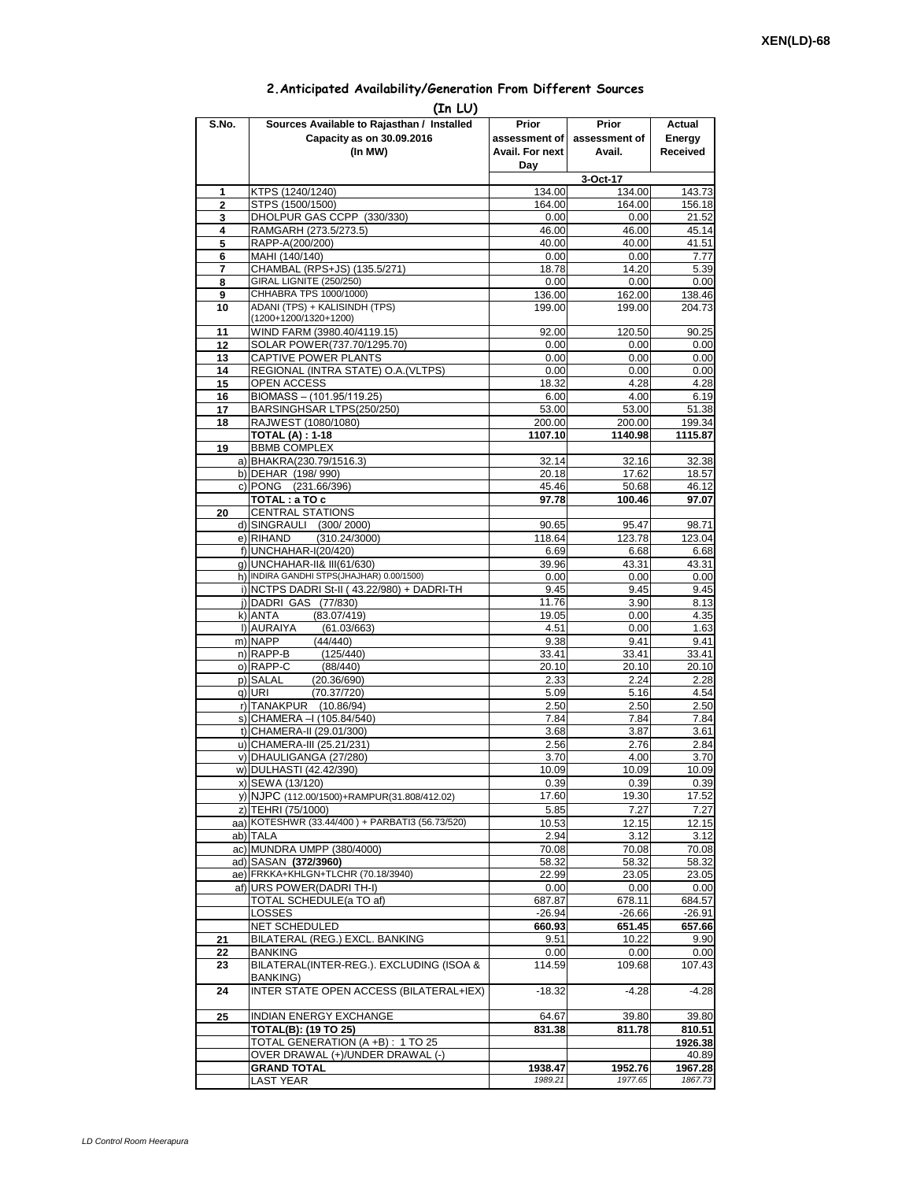## **2.Anticipated Availability/Generation From Different Sources**

| (In LU)  |                                                                                          |                                           |                                  |                              |  |  |  |  |  |  |
|----------|------------------------------------------------------------------------------------------|-------------------------------------------|----------------------------------|------------------------------|--|--|--|--|--|--|
| S.No.    | Sources Available to Rajasthan / Installed<br>Capacity as on 30.09.2016<br>(In MW)       | Prior<br>assessment of<br>Avail. For next | Prior<br>assessment of<br>Avail. | Actual<br>Energy<br>Received |  |  |  |  |  |  |
|          |                                                                                          | Day                                       |                                  |                              |  |  |  |  |  |  |
|          |                                                                                          |                                           | 3-Oct-17                         |                              |  |  |  |  |  |  |
| 1<br>2   | KTPS (1240/1240)<br>STPS (1500/1500)                                                     | 134.00<br>164.00                          | 134.00<br>164.00                 | 143.73<br>156.18             |  |  |  |  |  |  |
| 3        | DHOLPUR GAS CCPP (330/330)                                                               | 0.00                                      | 0.00                             | 21.52                        |  |  |  |  |  |  |
| 4        | RAMGARH (273.5/273.5)                                                                    | 46.00                                     | 46.00                            | 45.14                        |  |  |  |  |  |  |
| 5        | RAPP-A(200/200)                                                                          | 40.00                                     | 40.00                            | 41.51                        |  |  |  |  |  |  |
| 6        | MAHI (140/140)                                                                           | 0.00                                      | 0.00                             | 7.77                         |  |  |  |  |  |  |
| 7<br>8   | CHAMBAL (RPS+JS) (135.5/271)<br>GIRAL LIGNITE (250/250)                                  | 18.78                                     | 14.20                            | 5.39                         |  |  |  |  |  |  |
| 9        | CHHABRA TPS 1000/1000)                                                                   | 0.00<br>136.00                            | 0.00<br>162.00                   | 0.00<br>138.46               |  |  |  |  |  |  |
| 10       | ADANI (TPS) + KALISINDH (TPS)                                                            | 199.00                                    | 199.00                           | 204.73                       |  |  |  |  |  |  |
|          | (1200+1200/1320+1200)                                                                    |                                           |                                  |                              |  |  |  |  |  |  |
| 11       | WIND FARM (3980.40/4119.15)                                                              | 92.00                                     | 120.50                           | 90.25                        |  |  |  |  |  |  |
| 12<br>13 | SOLAR POWER(737.70/1295.70)<br>CAPTIVE POWER PLANTS                                      | 0.00<br>0.00                              | 0.00<br>0.00                     | 0.00<br>0.00                 |  |  |  |  |  |  |
| 14       | REGIONAL (INTRA STATE) O.A. (VLTPS)                                                      | 0.00                                      | 0.00                             | 0.00                         |  |  |  |  |  |  |
| 15       | OPEN ACCESS                                                                              | 18.32                                     | 4.28                             | 4.28                         |  |  |  |  |  |  |
| 16       | BIOMASS - (101.95/119.25)                                                                | 6.00                                      | 4.00                             | 6.19                         |  |  |  |  |  |  |
| 17       | BARSINGHSAR LTPS(250/250)                                                                | 53.00                                     | 53.00                            | 51.38                        |  |  |  |  |  |  |
| 18       | RAJWEST (1080/1080)<br><b>TOTAL (A): 1-18</b>                                            | 200.00<br>1107.10                         | 200.00<br>1140.98                | 199.34<br>1115.87            |  |  |  |  |  |  |
| 19       | <b>BBMB COMPLEX</b>                                                                      |                                           |                                  |                              |  |  |  |  |  |  |
|          | a) BHAKRA(230.79/1516.3)                                                                 | 32.14                                     | 32.16                            | 32.38                        |  |  |  |  |  |  |
|          | b) DEHAR (198/990)                                                                       | 20.18                                     | 17.62                            | 18.57                        |  |  |  |  |  |  |
|          | c) PONG (231.66/396)                                                                     | 45.46                                     | 50.68                            | 46.12                        |  |  |  |  |  |  |
| 20       | TOTAL: a TO c<br><b>CENTRAL STATIONS</b>                                                 | 97.78                                     | 100.46                           | 97.07                        |  |  |  |  |  |  |
|          | d) SINGRAULI (300/2000)                                                                  | 90.65                                     | 95.47                            | 98.71                        |  |  |  |  |  |  |
|          | e) RIHAND<br>(310.24/3000)                                                               | 118.64                                    | 123.78                           | 123.04                       |  |  |  |  |  |  |
|          | f) UNCHAHAR-I(20/420)                                                                    | 6.69                                      | 6.68                             | 6.68                         |  |  |  |  |  |  |
|          | q) UNCHAHAR-II& III(61/630)                                                              | 39.96                                     | 43.31                            | 43.31                        |  |  |  |  |  |  |
|          | h) INDIRA GANDHI STPS(JHAJHAR) 0.00/1500)<br>i) NCTPS DADRI St-II (43.22/980) + DADRI-TH | 0.00<br>9.45                              | 0.00<br>9.45                     | 0.00<br>9.45                 |  |  |  |  |  |  |
|          | j) DADRI GAS (77/830)                                                                    | 11.76                                     | 3.90                             | 8.13                         |  |  |  |  |  |  |
|          | (83.07/419)<br>k) ANTA                                                                   | 19.05                                     | 0.00                             | 4.35                         |  |  |  |  |  |  |
|          | I) AURAIYA<br>(61.03/663)                                                                | 4.51                                      | 0.00                             | 1.63                         |  |  |  |  |  |  |
|          | m) NAPP<br>(44/440)                                                                      | 9.38                                      | 9.41                             | 9.41                         |  |  |  |  |  |  |
|          | n) RAPP-B<br>(125/440)<br>o) RAPP-C<br>(88/440)                                          | 33.41<br>20.10                            | 33.41<br>20.10                   | 33.41<br>20.10               |  |  |  |  |  |  |
|          | p) SALAL<br>(20.36/690)                                                                  | 2.33                                      | 2.24                             | 2.28                         |  |  |  |  |  |  |
|          | g) URI<br>(70.37/720)                                                                    | 5.09                                      | 5.16                             | 4.54                         |  |  |  |  |  |  |
|          | r) TANAKPUR (10.86/94)                                                                   | 2.50                                      | 2.50                             | 2.50                         |  |  |  |  |  |  |
|          | s) CHAMERA - (105.84/540)                                                                | 7.84                                      | 7.84                             | 7.84                         |  |  |  |  |  |  |
|          | t) CHAMERA-II (29.01/300)<br>u) CHAMERA-III (25.21/231)                                  | 3.68<br>2.56                              | 3.87<br>2.76                     | 3.61<br>2.84                 |  |  |  |  |  |  |
|          | v) DHAULIGANGA (27/280)                                                                  | 3.70                                      | 4.00                             | 3.70                         |  |  |  |  |  |  |
|          | w) DULHASTI (42.42/390)                                                                  | 10.09                                     | 10.09                            | 10.09                        |  |  |  |  |  |  |
|          | x) SEWA (13/120)                                                                         | 0.39                                      | 0.39                             | 0.39                         |  |  |  |  |  |  |
|          | y) NJPC (112.00/1500)+RAMPUR(31.808/412.02)                                              | 17.60                                     | 19.30                            | 17.52                        |  |  |  |  |  |  |
|          | z) TEHRI (75/1000)<br>aa) KOTESHWR (33.44/400) + PARBATI3 (56.73/520)                    | 5.85                                      | 7.27<br>12.15                    | 7.27                         |  |  |  |  |  |  |
|          | ab) TALA                                                                                 | 10.53<br>2.94                             | 3.12                             | 12.15<br>3.12                |  |  |  |  |  |  |
|          | ac) MUNDRA UMPP (380/4000)                                                               | 70.08                                     | 70.08                            | 70.08                        |  |  |  |  |  |  |
|          | ad) SASAN (372/3960)                                                                     | 58.32                                     | 58.32                            | 58.32                        |  |  |  |  |  |  |
|          | ae) FRKKA+KHLGN+TLCHR (70.18/3940)                                                       | 22.99                                     | 23.05                            | 23.05                        |  |  |  |  |  |  |
|          | af) URS POWER(DADRI TH-I)<br>TOTAL SCHEDULE(a TO af)                                     | 0.00<br>687.87                            | 0.00<br>678.11                   | 0.00<br>684.57               |  |  |  |  |  |  |
|          | LOSSES                                                                                   | $-26.94$                                  | $-26.66$                         | $-26.91$                     |  |  |  |  |  |  |
|          | <b>NET SCHEDULED</b>                                                                     | 660.93                                    | 651.45                           | 657.66                       |  |  |  |  |  |  |
| 21       | BILATERAL (REG.) EXCL. BANKING                                                           | 9.51                                      | 10.22                            | 9.90                         |  |  |  |  |  |  |
| 22       | <b>BANKING</b>                                                                           | 0.00                                      | 0.00                             | 0.00                         |  |  |  |  |  |  |
| 23       | BILATERAL(INTER-REG.). EXCLUDING (ISOA &<br>BANKING)                                     | 114.59                                    | 109.68                           | 107.43                       |  |  |  |  |  |  |
| 24       | INTER STATE OPEN ACCESS (BILATERAL+IEX)                                                  | $-18.32$                                  | $-4.28$                          | $-4.28$                      |  |  |  |  |  |  |
| 25       | INDIAN ENERGY EXCHANGE                                                                   | 64.67                                     | 39.80                            | 39.80                        |  |  |  |  |  |  |
|          | <b>TOTAL(B): (19 TO 25)</b>                                                              | 831.38                                    | 811.78                           | 810.51                       |  |  |  |  |  |  |
|          | TOTAL GENERATION (A +B) : 1 TO 25                                                        |                                           |                                  | 1926.38                      |  |  |  |  |  |  |
|          | OVER DRAWAL (+)/UNDER DRAWAL (-)                                                         |                                           |                                  | 40.89                        |  |  |  |  |  |  |
|          | <b>GRAND TOTAL</b><br><b>LAST YEAR</b>                                                   | 1938.47<br>1989.21                        | 1952.76<br>1977.65               | 1967.28<br>1867.73           |  |  |  |  |  |  |
|          |                                                                                          |                                           |                                  |                              |  |  |  |  |  |  |